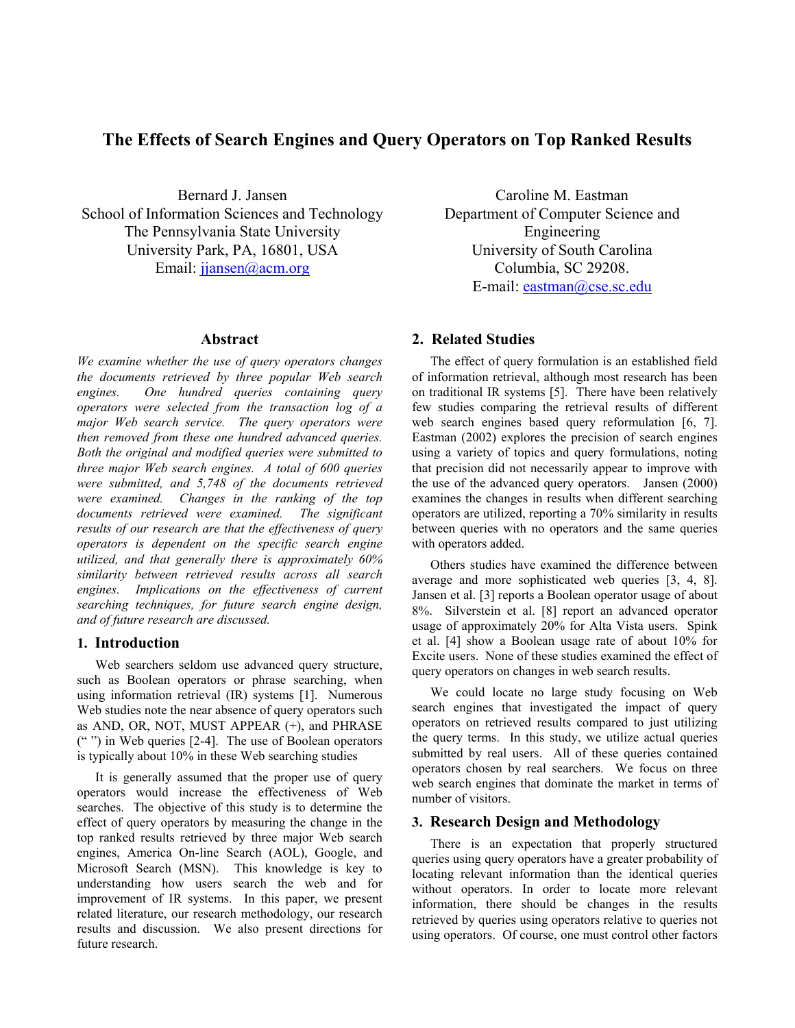# **The Effects of Search Engines and Query Operators on Top Ranked Results**

Bernard J. Jansen School of Information Sciences and Technology The Pennsylvania State University University Park, PA, 16801, USA Email: jiansen@acm.org

#### **Abstract**

*We examine whether the use of query operators changes the documents retrieved by three popular Web search engines. One hundred queries containing query operators were selected from the transaction log of a major Web search service. The query operators were then removed from these one hundred advanced queries. Both the original and modified queries were submitted to three major Web search engines. A total of 600 queries were submitted, and 5,748 of the documents retrieved were examined. Changes in the ranking of the top documents retrieved were examined. The significant results of our research are that the effectiveness of query operators is dependent on the specific search engine utilized, and that generally there is approximately 60% similarity between retrieved results across all search engines. Implications on the effectiveness of current searching techniques, for future search engine design, and of future research are discussed.* 

## **1. Introduction**

Web searchers seldom use advanced query structure, such as Boolean operators or phrase searching, when using information retrieval (IR) systems [1]. Numerous Web studies note the near absence of query operators such as AND, OR, NOT, MUST APPEAR (+), and PHRASE (" ") in Web queries [2-4]. The use of Boolean operators is typically about 10% in these Web searching studies

It is generally assumed that the proper use of query operators would increase the effectiveness of Web searches. The objective of this study is to determine the effect of query operators by measuring the change in the top ranked results retrieved by three major Web search engines, America On-line Search (AOL), Google, and Microsoft Search (MSN). This knowledge is key to understanding how users search the web and for improvement of IR systems. In this paper, we present related literature, our research methodology, our research results and discussion. We also present directions for future research.

Caroline M. Eastman Department of Computer Science and Engineering University of South Carolina Columbia, SC 29208. E-mail: eastman@cse.sc.edu

## **2. Related Studies**

The effect of query formulation is an established field of information retrieval, although most research has been on traditional IR systems [5]. There have been relatively few studies comparing the retrieval results of different web search engines based query reformulation [6, 7]. Eastman (2002) explores the precision of search engines using a variety of topics and query formulations, noting that precision did not necessarily appear to improve with the use of the advanced query operators. Jansen (2000) examines the changes in results when different searching operators are utilized, reporting a 70% similarity in results between queries with no operators and the same queries with operators added.

Others studies have examined the difference between average and more sophisticated web queries [3, 4, 8]. Jansen et al. [3] reports a Boolean operator usage of about 8%. Silverstein et al. [8] report an advanced operator usage of approximately 20% for Alta Vista users. Spink et al. [4] show a Boolean usage rate of about 10% for Excite users. None of these studies examined the effect of query operators on changes in web search results.

We could locate no large study focusing on Web search engines that investigated the impact of query operators on retrieved results compared to just utilizing the query terms. In this study, we utilize actual queries submitted by real users. All of these queries contained operators chosen by real searchers. We focus on three web search engines that dominate the market in terms of number of visitors.

### **3. Research Design and Methodology**

There is an expectation that properly structured queries using query operators have a greater probability of locating relevant information than the identical queries without operators. In order to locate more relevant information, there should be changes in the results retrieved by queries using operators relative to queries not using operators. Of course, one must control other factors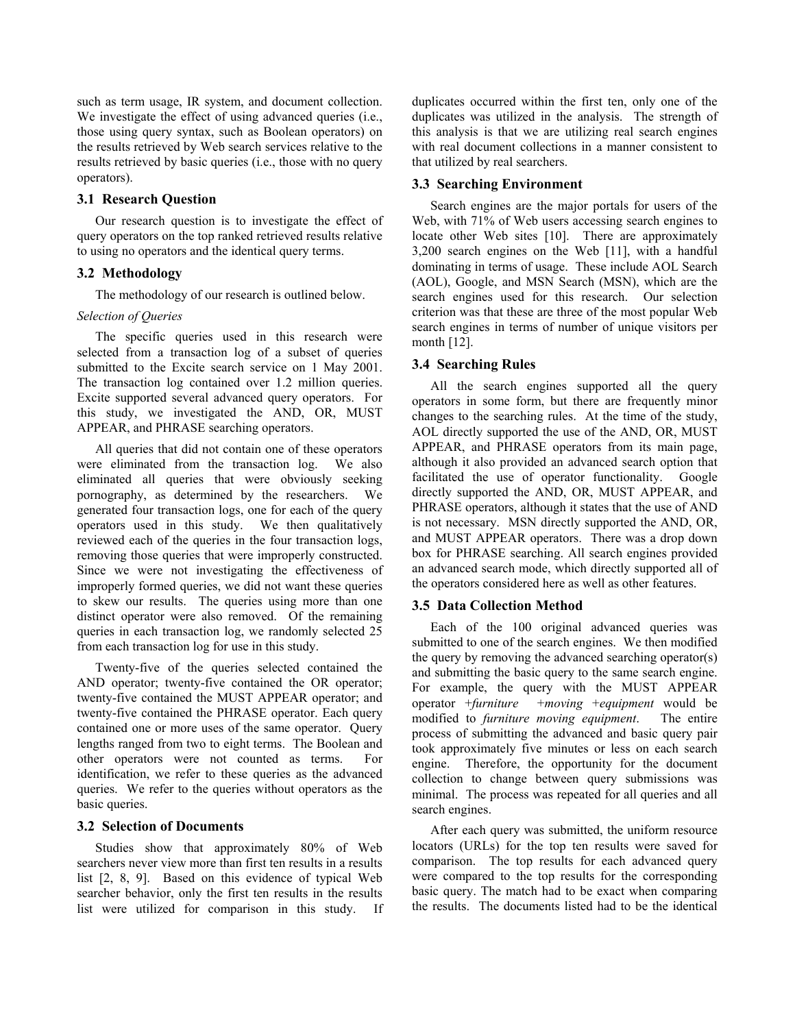such as term usage, IR system, and document collection. We investigate the effect of using advanced queries (i.e., those using query syntax, such as Boolean operators) on the results retrieved by Web search services relative to the results retrieved by basic queries (i.e., those with no query operators).

#### **3.1 Research Question**

Our research question is to investigate the effect of query operators on the top ranked retrieved results relative to using no operators and the identical query terms.

#### **3.2 Methodology**

The methodology of our research is outlined below.

#### *Selection of Queries*

The specific queries used in this research were selected from a transaction log of a subset of queries submitted to the Excite search service on 1 May 2001. The transaction log contained over 1.2 million queries. Excite supported several advanced query operators. For this study, we investigated the AND, OR, MUST APPEAR, and PHRASE searching operators.

All queries that did not contain one of these operators were eliminated from the transaction log. We also eliminated all queries that were obviously seeking pornography, as determined by the researchers. We generated four transaction logs, one for each of the query operators used in this study. We then qualitatively reviewed each of the queries in the four transaction logs, removing those queries that were improperly constructed. Since we were not investigating the effectiveness of improperly formed queries, we did not want these queries to skew our results. The queries using more than one distinct operator were also removed. Of the remaining queries in each transaction log, we randomly selected 25 from each transaction log for use in this study.

Twenty-five of the queries selected contained the AND operator; twenty-five contained the OR operator; twenty-five contained the MUST APPEAR operator; and twenty-five contained the PHRASE operator. Each query contained one or more uses of the same operator. Query lengths ranged from two to eight terms. The Boolean and other operators were not counted as terms. For identification, we refer to these queries as the advanced queries. We refer to the queries without operators as the basic queries.

#### **3.2 Selection of Documents**

Studies show that approximately 80% of Web searchers never view more than first ten results in a results list [2, 8, 9]. Based on this evidence of typical Web searcher behavior, only the first ten results in the results list were utilized for comparison in this study. If duplicates occurred within the first ten, only one of the duplicates was utilized in the analysis. The strength of this analysis is that we are utilizing real search engines with real document collections in a manner consistent to that utilized by real searchers.

#### **3.3 Searching Environment**

Search engines are the major portals for users of the Web, with 71% of Web users accessing search engines to locate other Web sites [10]. There are approximately 3,200 search engines on the Web [11], with a handful dominating in terms of usage. These include AOL Search (AOL), Google, and MSN Search (MSN), which are the search engines used for this research. Our selection criterion was that these are three of the most popular Web search engines in terms of number of unique visitors per month [12].

### **3.4 Searching Rules**

All the search engines supported all the query operators in some form, but there are frequently minor changes to the searching rules. At the time of the study, AOL directly supported the use of the AND, OR, MUST APPEAR, and PHRASE operators from its main page, although it also provided an advanced search option that facilitated the use of operator functionality. Google directly supported the AND, OR, MUST APPEAR, and PHRASE operators, although it states that the use of AND is not necessary. MSN directly supported the AND, OR, and MUST APPEAR operators. There was a drop down box for PHRASE searching. All search engines provided an advanced search mode, which directly supported all of the operators considered here as well as other features.

### **3.5 Data Collection Method**

Each of the 100 original advanced queries was submitted to one of the search engines. We then modified the query by removing the advanced searching operator(s) and submitting the basic query to the same search engine. For example, the query with the MUST APPEAR operator +*furniture* +*moving* +*equipment* would be modified to *furniture moving equipment*. The entire process of submitting the advanced and basic query pair took approximately five minutes or less on each search engine. Therefore, the opportunity for the document collection to change between query submissions was minimal. The process was repeated for all queries and all search engines.

After each query was submitted, the uniform resource locators (URLs) for the top ten results were saved for comparison. The top results for each advanced query were compared to the top results for the corresponding basic query. The match had to be exact when comparing the results. The documents listed had to be the identical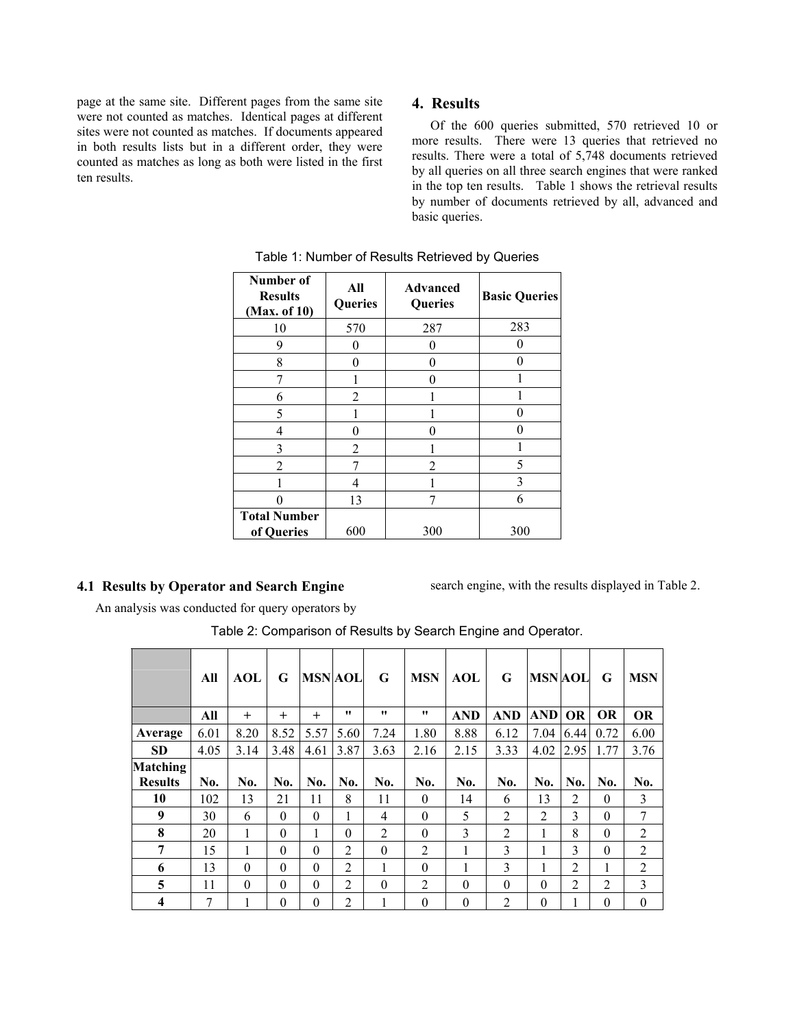page at the same site. Different pages from the same site were not counted as matches. Identical pages at different sites were not counted as matches. If documents appeared in both results lists but in a different order, they were counted as matches as long as both were listed in the first ten results.

# **4. Results**

Of the 600 queries submitted, 570 retrieved 10 or more results. There were 13 queries that retrieved no results. There were a total of 5,748 documents retrieved by all queries on all three search engines that were ranked in the top ten results. Table 1 shows the retrieval results by number of documents retrieved by all, advanced and basic queries.

| Number of<br><b>Results</b><br>(Max. of 10) | All<br>Queries | <b>Advanced</b><br>Queries | <b>Basic Queries</b> |  |  |  |
|---------------------------------------------|----------------|----------------------------|----------------------|--|--|--|
| 10                                          | 570            | 287                        | 283                  |  |  |  |
| 9                                           | 0              |                            |                      |  |  |  |
| 8                                           | 0              | 0                          |                      |  |  |  |
|                                             |                |                            |                      |  |  |  |
| 6                                           | $\overline{2}$ |                            |                      |  |  |  |
| 5                                           |                |                            |                      |  |  |  |
| 4                                           | 0              |                            |                      |  |  |  |
| 3                                           | 2              |                            |                      |  |  |  |
| $\overline{2}$                              |                | 2                          | 5                    |  |  |  |
|                                             | 4              |                            | 3                    |  |  |  |
|                                             | 13             |                            | 6                    |  |  |  |
| <b>Total Number</b><br>of Queries           | 600            | 300                        | 300                  |  |  |  |

# **4.1 Results by Operator and Search Engine**

search engine, with the results displayed in Table 2.

An analysis was conducted for query operators by

|                         | All  | <b>AOL</b> | G        | <b>MSN AOL</b> |                | G              | <b>MSN</b>     | <b>AOL</b>    | G              | <b>MSN AOL</b> |                | G         | <b>MSN</b>     |
|-------------------------|------|------------|----------|----------------|----------------|----------------|----------------|---------------|----------------|----------------|----------------|-----------|----------------|
|                         | All  | $\ddot{}$  | $^{+}$   | $^{+}$         | 11             | 11             | 11             | <b>AND</b>    | <b>AND</b>     | AND            | <b>OR</b>      | <b>OR</b> | <b>OR</b>      |
| Average                 | 6.01 | 8.20       | 8.52     | 5.57           | 5.60           | 7.24           | 1.80           | 8.88          | 6.12           | 7.04           | 6.44           | 0.72      | 6.00           |
| <b>SD</b>               | 4.05 | 3.14       | 3.48     | 4.61           | 3.87           | 3.63           | 2.16           | 2.15          | 3.33           | 4.02           | 2.95           | 1.77      | 3.76           |
| Matching                |      |            |          |                |                |                |                |               |                |                |                |           |                |
| <b>Results</b>          | No.  | No.        | No.      | No.            | No.            | No.            | No.            | No.           | No.            | No.            | No.            | No.       | No.            |
| 10                      | 102  | 13         | 21       | 11             | 8              | 11             | $\Omega$       | 14            | 6              | 13             | 2              | $\theta$  | 3              |
| 9                       | 30   | 6          | $\theta$ | $\theta$       | 1              | $\overline{4}$ | $\theta$       | 5             | 2              | $\overline{2}$ | 3              | $\theta$  | 7              |
| 8                       | 20   | 1          | $\theta$ | 1              | $\theta$       | $\overline{2}$ | $\Omega$       | $\mathcal{E}$ | 2              | 1              | 8              | $\theta$  | 2              |
| 7                       | 15   | 1          | $\theta$ | $\theta$       | $\overline{2}$ | $\theta$       | $\overline{2}$ | 1             | 3              | 1              | 3              | $\theta$  | $\overline{2}$ |
| 6                       | 13   | $\theta$   | $\theta$ | $\theta$       | $\overline{2}$ | 1              | $\theta$       | 1             | 3              | 1              | 2              | 1         | 2              |
| 5                       | 11   | $\theta$   | $\theta$ | $\theta$       | $\overline{2}$ | $\theta$       | 2              | $\Omega$      | $\theta$       | $\theta$       | $\overline{2}$ | 2         | 3              |
| $\overline{\mathbf{4}}$ | 7    |            | 0        | $\theta$       | 2              | 1              | $\theta$       | $\Omega$      | $\overline{2}$ | $\theta$       | 1              | $\theta$  | $\theta$       |

Table 2: Comparison of Results by Search Engine and Operator.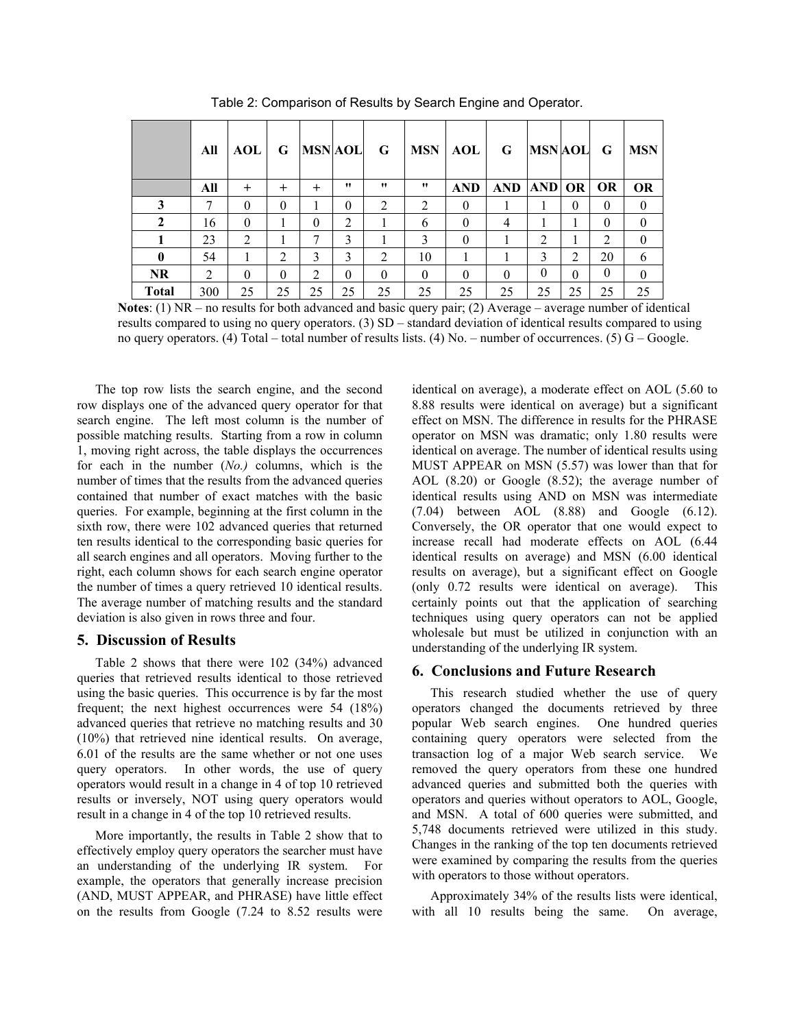|              | All | <b>AOL</b> | G              | <b>MSN AOL</b> |                | G        | <b>MSN</b> | AOL        | G          | <b>MSN AOL</b> |              | G         | <b>MSN</b>   |
|--------------|-----|------------|----------------|----------------|----------------|----------|------------|------------|------------|----------------|--------------|-----------|--------------|
|              | All | $\pm$      | $\pm$          | $\pm$          | 11             | 11       | 11         | <b>AND</b> | <b>AND</b> | AND OR         |              | <b>OR</b> | <b>OR</b>    |
| 3            | 7   | $\theta$   | $\theta$       |                | $\theta$       | 2        | 2          | $\theta$   |            |                | $\mathbf{0}$ | $\Omega$  | $\theta$     |
| 2            | 16  | $\theta$   |                | $\theta$       | $\overline{2}$ |          | 6          | $\theta$   | 4          | 1              |              | $\Omega$  | $\mathbf{0}$ |
|              | 23  | 2          |                | 7              | 3              |          | 3          | $\theta$   |            | 2              |              | 2         | $\theta$     |
| $\bf{0}$     | 54  | 1          | $\overline{2}$ | 3              | 3              | 2        | 10         |            |            | 3              | 2            | 20        | 6            |
| <b>NR</b>    | 2   | $\theta$   | $\Omega$       | 2              | $\theta$       | $\Omega$ | $\theta$   | $\Omega$   | $\theta$   | $\theta$       | $\Omega$     | $\Omega$  | $\theta$     |
| <b>Total</b> | 300 | 25         | 25             | 25             | 25             | 25       | 25         | 25         | 25         | 25             | 25           | 25        | 25           |

Table 2: Comparison of Results by Search Engine and Operator.

**Notes**: (1) NR – no results for both advanced and basic query pair; (2) Average – average number of identical results compared to using no query operators. (3) SD – standard deviation of identical results compared to using no query operators. (4) Total – total number of results lists. (4) No. – number of occurrences. (5) G – Google.

The top row lists the search engine, and the second row displays one of the advanced query operator for that search engine. The left most column is the number of possible matching results. Starting from a row in column 1, moving right across, the table displays the occurrences for each in the number (*No.)* columns, which is the number of times that the results from the advanced queries contained that number of exact matches with the basic queries. For example, beginning at the first column in the sixth row, there were 102 advanced queries that returned ten results identical to the corresponding basic queries for all search engines and all operators. Moving further to the right, each column shows for each search engine operator the number of times a query retrieved 10 identical results. The average number of matching results and the standard deviation is also given in rows three and four.

#### **5. Discussion of Results**

Table 2 shows that there were 102 (34%) advanced queries that retrieved results identical to those retrieved using the basic queries. This occurrence is by far the most frequent; the next highest occurrences were 54 (18%) advanced queries that retrieve no matching results and 30 (10%) that retrieved nine identical results. On average, 6.01 of the results are the same whether or not one uses query operators. In other words, the use of query operators would result in a change in 4 of top 10 retrieved results or inversely, NOT using query operators would result in a change in 4 of the top 10 retrieved results.

More importantly, the results in Table 2 show that to effectively employ query operators the searcher must have an understanding of the underlying IR system. For example, the operators that generally increase precision (AND, MUST APPEAR, and PHRASE) have little effect on the results from Google (7.24 to 8.52 results were

identical on average), a moderate effect on AOL (5.60 to 8.88 results were identical on average) but a significant effect on MSN. The difference in results for the PHRASE operator on MSN was dramatic; only 1.80 results were identical on average. The number of identical results using MUST APPEAR on MSN (5.57) was lower than that for AOL (8.20) or Google (8.52); the average number of identical results using AND on MSN was intermediate (7.04) between AOL (8.88) and Google (6.12). Conversely, the OR operator that one would expect to increase recall had moderate effects on AOL (6.44 identical results on average) and MSN (6.00 identical results on average), but a significant effect on Google (only 0.72 results were identical on average). This certainly points out that the application of searching techniques using query operators can not be applied wholesale but must be utilized in conjunction with an understanding of the underlying IR system.

#### **6. Conclusions and Future Research**

This research studied whether the use of query operators changed the documents retrieved by three popular Web search engines. One hundred queries containing query operators were selected from the transaction log of a major Web search service. We removed the query operators from these one hundred advanced queries and submitted both the queries with operators and queries without operators to AOL, Google, and MSN. A total of 600 queries were submitted, and 5,748 documents retrieved were utilized in this study. Changes in the ranking of the top ten documents retrieved were examined by comparing the results from the queries with operators to those without operators.

Approximately 34% of the results lists were identical, with all 10 results being the same. On average,